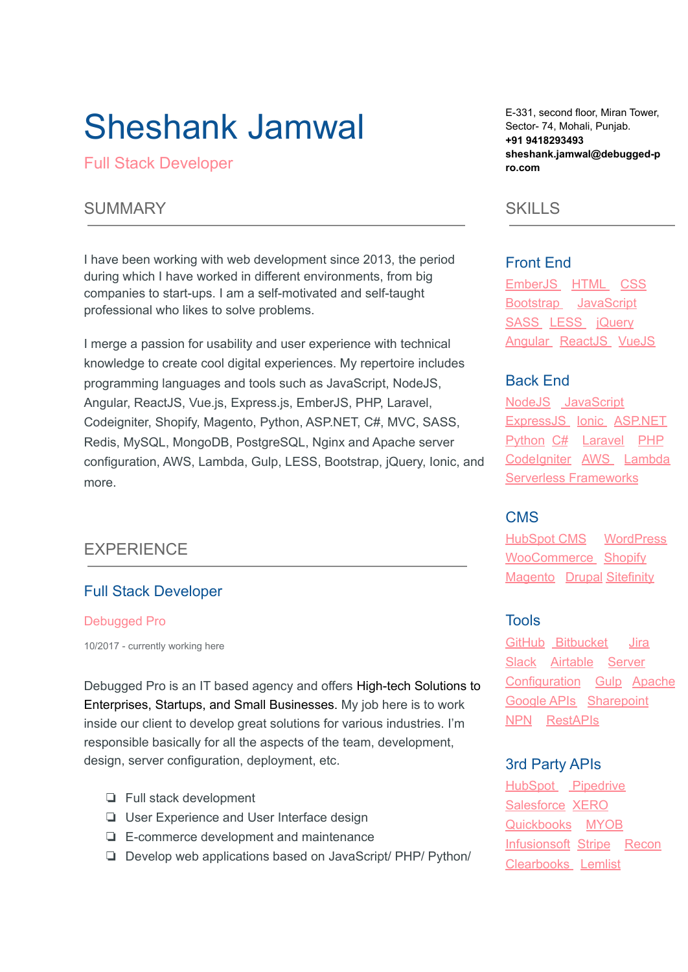# Sheshank Jamwal

Full Stack Developer

# SUMMARY

I have been working with web development since 2013, the period during which I have worked in different environments, from big companies to start-ups. I am a self-motivated and self-taught professional who likes to solve problems.

I merge a passion for usability and user experience with technical knowledge to create cool digital experiences. My repertoire includes programming languages and tools such as JavaScript, NodeJS, Angular, ReactJS, Vue.js, Express.js, EmberJS, PHP, Laravel, Codeigniter, Shopify, Magento, Python, ASP.NET, C#, MVC, SASS, Redis, MySQL, MongoDB, PostgreSQL, Nginx and Apache server configuration, AWS, Lambda, Gulp, LESS, Bootstrap, jQuery, Ionic, and more.

# EXPERIENCE

## Full Stack Developer

#### Debugged Pro

10/2017 - [currently](https://enhancv.com/resume-examples/full-stack-developer/) working here

Debugged Pro is an IT based agency and offers High-tech Solutions to Enterprises, Startups, and Small Businesses. My job here is to work inside our client to develop great solutions for various industries. I'm responsible basically for all the aspects of the team, development, design, server configuration, deployment, etc.

- ❏ Full stack development
- ❏ User Experience and User Interface design
- ❏ E-commerce development and maintenance
- ❏ Develop web applications based on JavaScript/ PHP/ Python/

E-331, second floor, Miran Tower, Sector- 74, Mohali, Punjab. **+91 9418293493 sheshank.jamwal@debugged-p ro.com**

# **SKILLS**

#### Front End

EmberJS HTML CSS Bootstrap JavaScript SASS LESS jQuery Angular ReactJS VueJS

## Back End

NodeJS JavaScript ExpressJS Ionic ASP.NET Python C# Laravel PHP Codelgniter AWS Lambda Serverless Frameworks

## CMS

HubSpot CMS WordPress WooCommerce Shopify Magento Drupal Sitefinity

#### Tools

GitHub Bitbucket Jira Slack Airtable Server Configuration Gulp Apache Google APIs Sharepoint NPN RestAPIs

## 3rd Party APIs

HubSpot Pipedrive Salesforce XERO Quickbooks MYOB Infusionsoft Stripe Recon Clearbooks Lemlist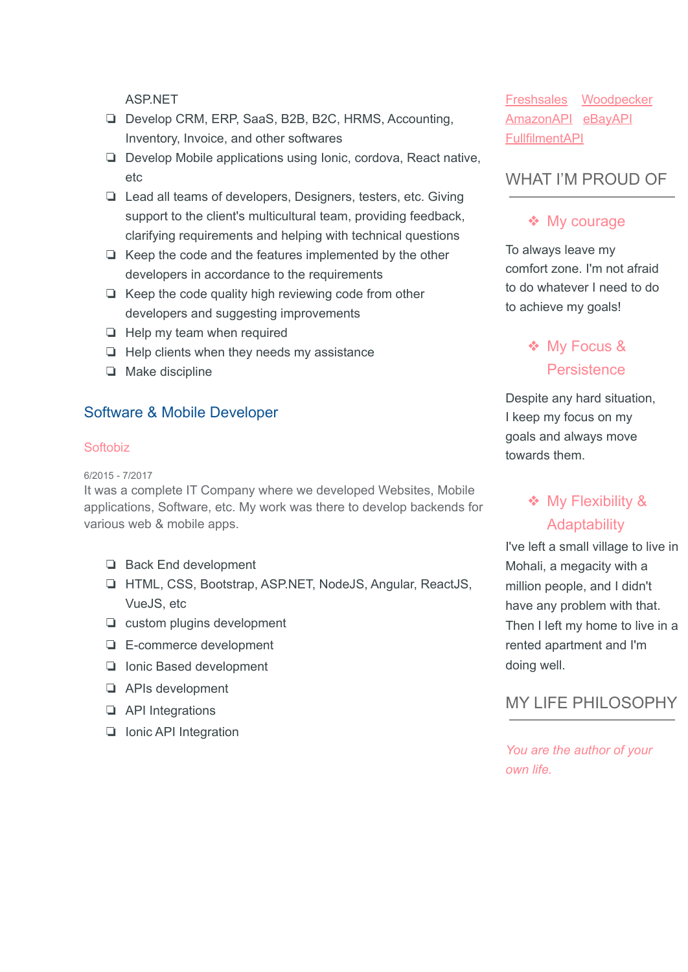**ASPNFT** 

- ❏ Develop CRM, ERP, SaaS, B2B, B2C, HRMS, Accounting, Inventory, Invoice, and other softwares
- ❏ Develop Mobile applications using Ionic, cordova, React native, etc
- ❏ Lead all teams of developers, Designers, testers, etc. Giving support to the client's multicultural team, providing feedback, clarifying requirements and helping with technical questions
- ❏ Keep the code and the features implemented by the other developers in accordance to the requirements
- ❏ Keep the code quality high reviewing code from other developers and suggesting improvements
- ❏ Help my team when required
- ❏ Help clients when they needs my assistance
- ❏ Make discipline

### Software & Mobile Developer

#### **Softobiz**

6/2015 - [7/2017](https://enhancv.com/resume-examples/full-stack-developer/)

It was a complete IT Company where we developed Websites, Mobile applications, Software, etc. My work was there to develop backends for various web & mobile apps.

- ❏ Back End development
- ❏ HTML, CSS, Bootstrap, ASP.NET, NodeJS, Angular, ReactJS, VueJS, etc
- ❏ custom plugins development
- ❏ E-commerce development
- ❏ Ionic Based development
- ❏ APIs development
- ❏ API Integrations
- ❏ Ionic API Integration

Freshsales Woodpecker AmazonAPI eBayAPI FullfilmentAPI

# WHAT I'M PROUD OF

### ❖ My courage

To always leave my comfort zone. I'm not afraid to do whatever I need to do to achieve my goals!

# ❖ My Focus & **Persistence**

Despite any hard situation, I keep my focus on my goals and always move towards them.

# ❖ My Flexibility & **Adaptability**

I've left a small village to live in Mohali, a megacity with a million people, and I didn't have any problem with that. Then I left my home to live in a rented apartment and I'm doing well.

# MY LIFE PHILOSOPHY

*You are the author of your own life.*